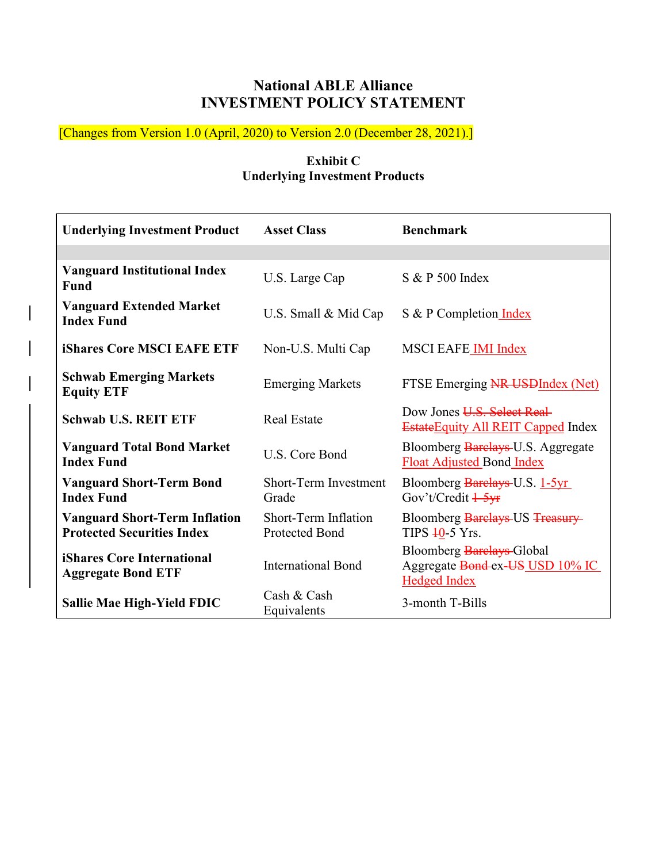# **National ABLE Alliance INVESTMENT POLICY STATEMENT**

[Changes from Version 1.0 (April, 2020) to Version 2.0 (December 28, 2021).]

## **Exhibit C Underlying Investment Products**

| <b>Underlying Investment Product</b>                                      | <b>Asset Class</b>                            | <b>Benchmark</b>                                                                    |  |  |
|---------------------------------------------------------------------------|-----------------------------------------------|-------------------------------------------------------------------------------------|--|--|
|                                                                           |                                               |                                                                                     |  |  |
| <b>Vanguard Institutional Index</b><br>Fund                               | U.S. Large Cap                                | S & P 500 Index                                                                     |  |  |
| <b>Vanguard Extended Market</b><br><b>Index Fund</b>                      | U.S. Small & Mid Cap                          | S & P Completion Index                                                              |  |  |
| <b>iShares Core MSCI EAFE ETF</b>                                         | Non-U.S. Multi Cap                            | <b>MSCI EAFE IMI Index</b>                                                          |  |  |
| <b>Schwab Emerging Markets</b><br><b>Equity ETF</b>                       | <b>Emerging Markets</b>                       | FTSE Emerging NR USDIndex (Net)                                                     |  |  |
| <b>Schwab U.S. REIT ETF</b>                                               | <b>Real Estate</b>                            | Dow Jones U.S. Select Real-<br><b>Estate Equity All REIT Capped Index</b>           |  |  |
| <b>Vanguard Total Bond Market</b><br><b>Index Fund</b>                    | U.S. Core Bond                                | Bloomberg Barclays-U.S. Aggregate<br><b>Float Adjusted Bond Index</b>               |  |  |
| <b>Vanguard Short-Term Bond</b><br><b>Index Fund</b>                      | <b>Short-Term Investment</b><br>Grade         | Bloomberg Barclays U.S. 1-5yr<br>Gov't/Credit 1-5yr                                 |  |  |
| <b>Vanguard Short-Term Inflation</b><br><b>Protected Securities Index</b> | Short-Term Inflation<br><b>Protected Bond</b> | Bloomberg Barclays US Treasury<br>TIPS 40-5 Yrs.                                    |  |  |
| iShares Core International<br><b>Aggregate Bond ETF</b>                   | <b>International Bond</b>                     | Bloomberg Barelays-Global<br>Aggregate Bond-ex-US_USD 10% IC<br><b>Hedged Index</b> |  |  |
| <b>Sallie Mae High-Yield FDIC</b>                                         | Cash & Cash<br>Equivalents                    | 3-month T-Bills                                                                     |  |  |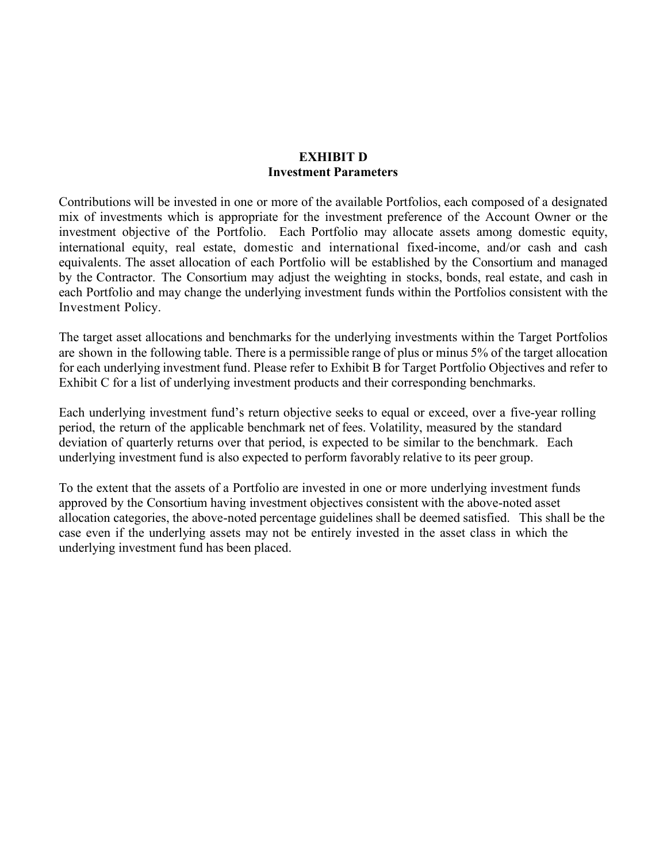#### **EXHIBIT D Investment Parameters**

Contributions will be invested in one or more of the available Portfolios, each composed of a designated mix of investments which is appropriate for the investment preference of the Account Owner or the investment objective of the Portfolio. Each Portfolio may allocate assets among domestic equity, international equity, real estate, domestic and international fixed-income, and/or cash and cash equivalents. The asset allocation of each Portfolio will be established by the Consortium and managed by the Contractor. The Consortium may adjust the weighting in stocks, bonds, real estate, and cash in each Portfolio and may change the underlying investment funds within the Portfolios consistent with the Investment Policy.

The target asset allocations and benchmarks for the underlying investments within the Target Portfolios are shown in the following table. There is a permissible range of plus or minus 5% of the target allocation for each underlying investment fund. Please refer to Exhibit B for Target Portfolio Objectives and refer to Exhibit C for a list of underlying investment products and their corresponding benchmarks.

Each underlying investment fund's return objective seeks to equal or exceed, over a five-year rolling period, the return of the applicable benchmark net of fees. Volatility, measured by the standard deviation of quarterly returns over that period, is expected to be similar to the benchmark. Each underlying investment fund is also expected to perform favorably relative to its peer group.

To the extent that the assets of a Portfolio are invested in one or more underlying investment funds approved by the Consortium having investment objectives consistent with the above-noted asset allocation categories, the above-noted percentage guidelines shall be deemed satisfied. This shall be the case even if the underlying assets may not be entirely invested in the asset class in which the underlying investment fund has been placed.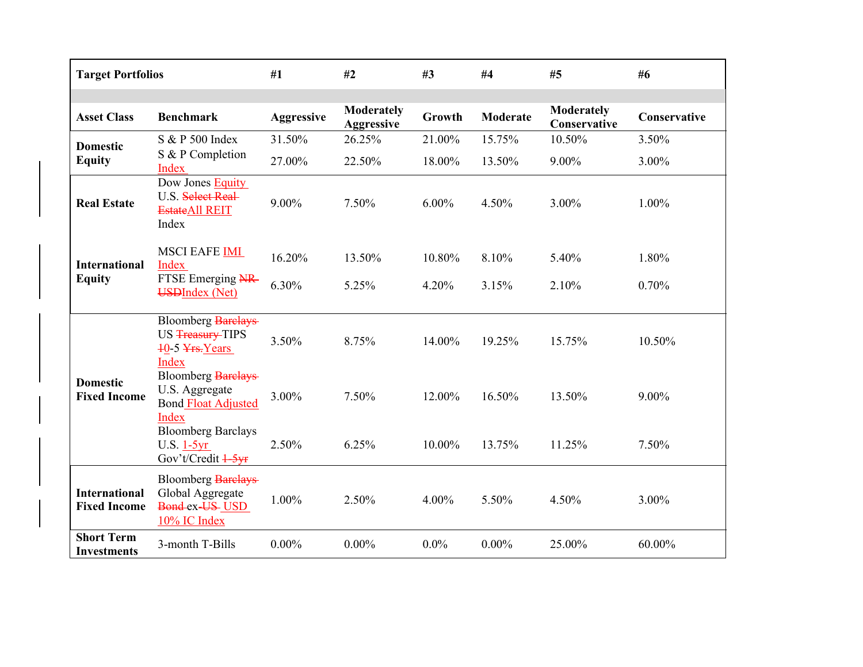| <b>Target Portfolios</b>                    |                                                                                    | #1                | #2                                     | #3       | #4              | #5                                | #6           |
|---------------------------------------------|------------------------------------------------------------------------------------|-------------------|----------------------------------------|----------|-----------------|-----------------------------------|--------------|
| <b>Asset Class</b>                          | <b>Benchmark</b>                                                                   | <b>Aggressive</b> | <b>Moderately</b><br><b>Aggressive</b> | Growth   | <b>Moderate</b> | <b>Moderately</b><br>Conservative | Conservative |
| <b>Domestic</b><br><b>Equity</b>            | S & P 500 Index                                                                    | 31.50%            | 26.25%                                 | 21.00%   | 15.75%          | 10.50%                            | 3.50%        |
|                                             | S & P Completion<br>Index                                                          | 27.00%            | 22.50%                                 | 18.00%   | 13.50%          | 9.00%                             | 3.00%        |
| <b>Real Estate</b>                          | Dow Jones Equity<br>U.S. Select Real-<br><b>EstateAll REIT</b><br>Index            | 9.00%             | 7.50%                                  | $6.00\%$ | 4.50%           | 3.00%                             | 1.00%        |
| <b>International</b>                        | <b>MSCI EAFE IMI</b><br>Index                                                      | 16.20%            | 13.50%                                 | 10.80%   | 8.10%           | 5.40%                             | 1.80%        |
| <b>Equity</b>                               | FTSE Emerging NR<br><b>USDIndex (Net)</b>                                          | 6.30%             | 5.25%                                  | 4.20%    | 3.15%           | 2.10%                             | 0.70%        |
| <b>Domestic</b><br><b>Fixed Income</b>      | <b>Bloomberg Barelays</b><br>US Treasury-TIPS<br>$40-5$ $Yrs. Years$<br>Index      | 3.50%             | 8.75%                                  | 14.00%   | 19.25%          | 15.75%                            | 10.50%       |
|                                             | <b>Bloomberg Barelays</b><br>U.S. Aggregate<br><b>Bond Float Adjusted</b><br>Index | 3.00%             | 7.50%                                  | 12.00%   | 16.50%          | 13.50%                            | 9.00%        |
|                                             | <b>Bloomberg Barclays</b><br>$U.S. 1-5yr$<br>Gov't/Credit 1-5yr                    | 2.50%             | 6.25%                                  | 10.00%   | 13.75%          | 11.25%                            | 7.50%        |
| <b>International</b><br><b>Fixed Income</b> | <b>Bloomberg Barelays</b><br>Global Aggregate<br>Bond ex-US-USD<br>10% IC Index    | 1.00%             | 2.50%                                  | 4.00%    | 5.50%           | 4.50%                             | 3.00%        |
| <b>Short Term</b><br><b>Investments</b>     | 3-month T-Bills                                                                    | $0.00\%$          | $0.00\%$                               | $0.0\%$  | $0.00\%$        | 25.00%                            | 60.00%       |